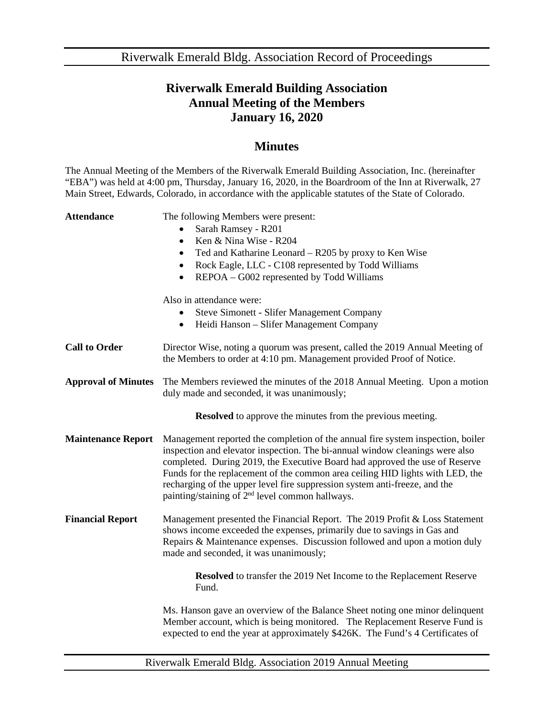Riverwalk Emerald Bldg. Association Record of Proceedings

## **Riverwalk Emerald Building Association Annual Meeting of the Members January 16, 2020**

## **Minutes**

The Annual Meeting of the Members of the Riverwalk Emerald Building Association, Inc. (hereinafter "EBA") was held at 4:00 pm, Thursday, January 16, 2020, in the Boardroom of the Inn at Riverwalk, 27 Main Street, Edwards, Colorado, in accordance with the applicable statutes of the State of Colorado.

| <b>Attendance</b>          | The following Members were present:<br>Sarah Ramsey - R201<br>Ken & Nina Wise - R204<br>$\bullet$<br>Ted and Katharine Leonard - R205 by proxy to Ken Wise<br>٠<br>Rock Eagle, LLC - C108 represented by Todd Williams<br>$\bullet$<br>REPOA – G002 represented by Todd Williams<br>$\bullet$                                                                                                                                                                                |
|----------------------------|------------------------------------------------------------------------------------------------------------------------------------------------------------------------------------------------------------------------------------------------------------------------------------------------------------------------------------------------------------------------------------------------------------------------------------------------------------------------------|
|                            | Also in attendance were:<br><b>Steve Simonett - Slifer Management Company</b><br>Heidi Hanson - Slifer Management Company<br>$\bullet$                                                                                                                                                                                                                                                                                                                                       |
| <b>Call to Order</b>       | Director Wise, noting a quorum was present, called the 2019 Annual Meeting of<br>the Members to order at 4:10 pm. Management provided Proof of Notice.                                                                                                                                                                                                                                                                                                                       |
| <b>Approval of Minutes</b> | The Members reviewed the minutes of the 2018 Annual Meeting. Upon a motion<br>duly made and seconded, it was unanimously;                                                                                                                                                                                                                                                                                                                                                    |
|                            | <b>Resolved</b> to approve the minutes from the previous meeting.                                                                                                                                                                                                                                                                                                                                                                                                            |
| <b>Maintenance Report</b>  | Management reported the completion of the annual fire system inspection, boiler<br>inspection and elevator inspection. The bi-annual window cleanings were also<br>completed. During 2019, the Executive Board had approved the use of Reserve<br>Funds for the replacement of the common area ceiling HID lights with LED, the<br>recharging of the upper level fire suppression system anti-freeze, and the<br>painting/staining of 2 <sup>nd</sup> level common hallways. |
| <b>Financial Report</b>    | Management presented the Financial Report. The 2019 Profit & Loss Statement<br>shows income exceeded the expenses, primarily due to savings in Gas and<br>Repairs & Maintenance expenses. Discussion followed and upon a motion duly<br>made and seconded, it was unanimously;                                                                                                                                                                                               |
|                            | <b>Resolved</b> to transfer the 2019 Net Income to the Replacement Reserve<br>Fund.                                                                                                                                                                                                                                                                                                                                                                                          |
|                            | Ms. Hanson gave an overview of the Balance Sheet noting one minor delinquent<br>Member account, which is being monitored. The Replacement Reserve Fund is<br>expected to end the year at approximately \$426K. The Fund's 4 Certificates of                                                                                                                                                                                                                                  |